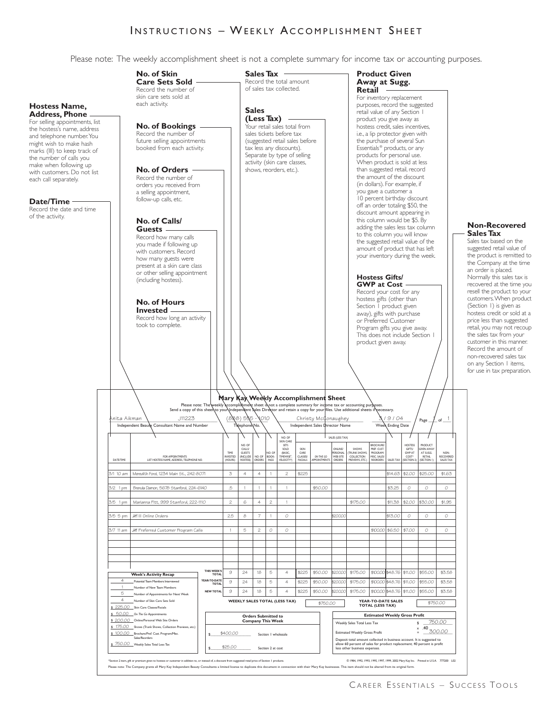## **INSTRUCTIONS – WEEKLY ACCOMPLISHMENT SHEET** INSTRUCTIONS - WEEKLY ACCOMPLISHMENT SHEET

Please note: The weekly accomplishment sheet is not a complete summary for income tax or accounting purposes.

## **Orders Submitted to Company This Week** Section 1 wholesale \$\_\_\_\_\_\_\_\_\_\_\_\_\_\_\_\_\_\_\_\_\_\_ Section 2 at cost NO. OF SALES (LESS TAX) SKIN CARE NO. OF SETS BROCHURE/ HOSTESS PRODUCT CALLS/ | | | SOLD | SKIN | | | | | ONLINE/ | SHOWS | | PREF. CUST. | | | | GIFTS/ | | GIVEN AWAY TIME GUESTS NO. OF (BASIC, CARE PERSONAL (TRUNK SHOWS, PROGRAM/ GWP AT AT SUGG. NON-FOR APPOINTMENTS INVESTED (INCLUDE NO. OF BOOK- TIMEWISE®, CLASSES/ *ON THE GO* WEB SITE COLLECTION MISC. SALES/ COST\* RETAIL RECOVERED DATE/TIME LIST HOSTESS NAME, ADDRESS, TELEPHONE NO. | (HOURS) | HOSTESS) | ORDERS | NGS | VELOCITY®) | FACIALS | APPOINTMENTS | ORDERS | PREVIEWS, ETC.) | REORDERS | SALES TAX | (SECTION 2) | SECTION 1) | SALES TAX **Mary Kay Weekly Accomplishment Sheet**<br>kky accomplishment sheet is not a complete summary for income tax or acco<br>your\independent sales Director and retain a coov for vourlfiles. Use additiv Please note: The weekly accomplistment sheet is not a complete summary for income tax or accounting purposes.<br>Send a copy of this sheet to your Independent Sales Director and retain a copy for your files. Use additional sh  $\frac{1}{2}$  Page  $\frac{1}{2}$  of  $\frac{1}{2}$  (begins  $\frac{1}{2}$  bind  $\frac{1}{2}$  chiral conditional proposability  $\frac{1}{2}$   $\frac{1}{2}$   $\frac{1}{2}$   $\frac{1}{2}$   $\frac{1}{2}$   $\frac{1}{2}$   $\frac{1}{2}$   $\frac{1}{2}$   $\frac{1}{2}$   $\frac{1}{2}$   $\frac{1}{2}$   $\frac{1}{2$ Independent Beauty Consultant Name and Number Telephone No. Independent Sales Director Name Week Ending Date **Week's Activity Recap** Potential Team Members Interviewed Number of New Team Members 5 Number of Appointments for Next Week Number of Skin Care Sets Sold \$ 225.00 Skin Care Classes/Facials \$ 50.00 On The Go Appointments \$ 200.00 Online/Personal Web Site Orders \$ 175.00 Shows (Trunk Shows, Collection Previews, etc.) \$ 100.00 Brochure/Pref. Cust. Program/Misc.<br>Sales/Reorders \$ 750.00 Weekly Sales Total Less Tax **Estimated Weekly Gross Profit** Weekly Sales Total Less Tax **\$ \$** Estimated Weekly Gross Profit  $\begin{array}{rcl} x & .40 \ \text{300.00} \end{array}$ Deposit total amount collected in business account. It is suggested to allow 60 percent of sales for product replacement; 40 percent is profit less other business expenses. ion 2 item, aft or premium aiven to hostess or customer in addition to, or instead of, a discount from susvested retail orics of Section 1 products. (@ 1994.1992.1993.1995.1997.1999.2002 Mary Kav Inc. Printed in U.S.A. 777 Please note: The Company grants all Mary Kay Independent Beauty Consultants a limited license to duplicate this document in connection with their Mary Kay businesses. This item should not be altered from its original form. **WEEKLY SALES TOTAL (LESS TAX)**  $\sqrt{\frac{4750.00}{}}$ **TOTAL (LESS TAX)** \$750.00 **THIS WEEK'S TOTAL YEAR-TO-DATE TOTAL NEW TOTAL** 4 1 4 750.00 nita Aikman J11223 (888) 585 - 1010 Christy McConaughey  $\frac{3}{9}$  / 9 / 04  $\frac{1}{9}$  are  $\frac{1}{1}$  of 1 3/1 10 am Meredith Ford, 1234 Main St., 242-8071 3 4 4 1 2 \$225 \$14.63 \$2.00 \$25.00 \$1.63 3/2 1 pm Brenda Damon, 5678 Stanford, 224-6140 .5 1 1 1 1 \$50.00 \$3.25 0 0 0 3/5 1 pm Marianna Pitt, 999 Stanford, 222-1110 2 6 4 2 1 \$175.00 \$11.38 \$2.00 \$30.00 \$1.95 3/5 5 pm IIII III Online Orders 2.5 8 7 1 0 \$200.00 \$13.00 0 0 0 77 11 am | JH1 Preferred Customer Program Calls | 1 | 5 | 2 | 0 | | | \$100.00 | \$6.50 | \$7.00 9 | 24 | 18 | 5 | 4 | \$225 | \$50.00 |\$200.00| \$175.00 |\$100.00|\$48.76 |\$11.00 |\$55.00 | \$3.58 9 24 18 5 4 \$225 \$50.00 \$20000 \$175.00 \$100.00 \$48.76 \$11.00 \$55.00 \$3.58 9 24 18 5 4 \$225 \$50.00 \$200.00 \$175.00 \$100.00 \$48.76 \$11.00 \$55.00 \$3.58 \$400.00 \$25.00 **Hostess Name, Address, Phone** For selling appointments, list the hostess's name, address and telephone number.You might wish to make hash marks (III) to keep track of the number of calls you make when following up with customers. Do not list each call separately. **Date/Time** Record the date and time of the activity. **No. of Skin Care Sets Sold** Record the number of skin care sets sold at each activity. **No. of Bookings** Record the number of future selling appointments booked from each activity. **No. of Orders** Record the number of orders you received from a selling appointment, follow-up calls, etc. **No. of Calls/ Guests** Record how many calls you made if following up with customers. Record how many guests were present at a skin care class or other selling appointment (including hostess). **No. of Hours Invested** Record how long an activity took to complete. **Sales Tax** Record the total amount of sales tax collected. **Sales (Less Tax)** Your retail sales total from sales tickets before tax (suggested retail sales before tax less any discounts). Separate by type of selling activity (skin care classes, shows, reorders, etc.). **Product Given Away at Sugg. Retail** For inventory replacement purposes, record the suggested retail value of any Section 1 product you give away as hostess credit, sales incentives, i.e., a lip protector given with the purchase of several Sun Essentials ® products, or any products for personal use. When product is sold at less than suggested retail, record the amount of the discount (in dollars). For example, if you gave a customer a 10 percent birthday discount off an order totaling \$50, the discount amount appearing in this column would be \$5. By adding the sales less tax column to this column you will know the suggested retail value of the amount of product that has left your inventory during the week. **Hostess Gifts/ GWP at Cost** Record your cost for any hostess gifts (other than Section I product given away), gifts with purchase or Preferred Customer Program gifts you give away. This does not include Section 1 product given away. **Non-Recovered Sales Tax** Sales tax based on the suggested retail value of the product is remitted to the Company at the time an order is placed. Normally this sales tax is recovered at the time you resell the product to your customers.When product (Section 1) is given as hostess credit or sold at a price less than suggested retail, you may not recoup the sales tax from your customer in this manner. Record the amount of non-recovered sales tax on any Section 1 items, for use in tax preparation.